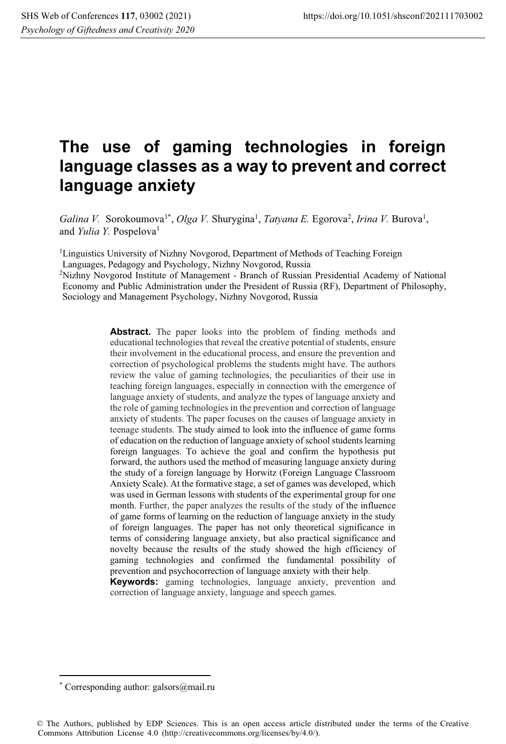# **The use of gaming technologies in foreign language classes as a way to prevent and correct language anxiety**

Galina V. Sorokoumova<sup>1\*</sup>, Olga V. Shurygina<sup>1</sup>, *Tatyana E.* Egorova<sup>2</sup>, Irina V. Burova<sup>1</sup>, and *Yulia Y.* Pospelova<sup>1</sup>

<sup>1</sup>Linguistics University of Nizhny Novgorod, Department of Methods of Teaching Foreign

Languages, Pedagogy and Psychology, Nizhny Novgorod, Russia

2Nizhny Novgorod Institute of Management - Branch of Russian Presidential Academy of National Economy and Public Administration under the President of Russia (RF), Department of Philosophy, Sociology and Management Psychology, Nizhny Novgorod, Russia

> **Abstract.** The paper looks into the problem of finding methods and educational technologies that reveal the creative potential of students, ensure their involvement in the educational process, and ensure the prevention and correction of psychological problems the students might have. The authors review the value of gaming technologies, the peculiarities of their use in teaching foreign languages, especially in connection with the emergence of language anxiety of students, and analyze the types of language anxiety and the role of gaming technologies in the prevention and correction of language anxiety of students. The paper focuses on the causes of language anxiety in teenage students. The study aimed to look into the influence of game forms of education on the reduction of language anxiety of school students learning foreign languages. To achieve the goal and confirm the hypothesis put forward, the authors used the method of measuring language anxiety during the study of a foreign language by Horwitz (Foreign Language Classroom Anxiety Scale). At the formative stage, a set of games was developed, which was used in German lessons with students of the experimental group for one month. Further, the paper analyzes the results of the study of the influence of game forms of learning on the reduction of language anxiety in the study of foreign languages. The paper has not only theoretical significance in terms of considering language anxiety, but also practical significance and novelty because the results of the study showed the high efficiency of gaming technologies and confirmed the fundamental possibility of prevention and psychocorrection of language anxiety with their help.

> **Keywords:** gaming technologies, language anxiety, prevention and correction of language anxiety, language and speech games.

<sup>\*</sup> Corresponding author: galsors@mail.ru

<sup>©</sup> The Authors, published by EDP Sciences. This is an open access article distributed under the terms of the Creative Commons Attribution License 4.0 (http://creativecommons.org/licenses/by/4.0/).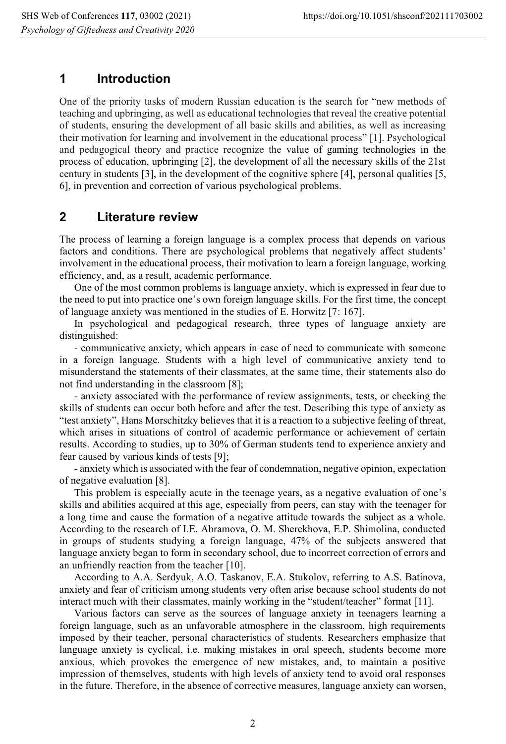#### **1 Introduction**

One of the priority tasks of modern Russian education is the search for "new methods of teaching and upbringing, as well as educational technologies that reveal the creative potential of students, ensuring the development of all basic skills and abilities, as well as increasing their motivation for learning and involvement in the educational process" [1]. Psychological and pedagogical theory and practice recognize the value of gaming technologies in the process of education, upbringing [2], the development of all the necessary skills of the 21st century in students [3], in the development of the cognitive sphere [4], personal qualities [5, 6], in prevention and correction of various psychological problems.

#### **2 Literature review**

The process of learning a foreign language is a complex process that depends on various factors and conditions. There are psychological problems that negatively affect students' involvement in the educational process, their motivation to learn a foreign language, working efficiency, and, as a result, academic performance.

One of the most common problems is language anxiety, which is expressed in fear due to the need to put into practice one's own foreign language skills. For the first time, the concept of language anxiety was mentioned in the studies of E. Horwitz [7: 167].

In psychological and pedagogical research, three types of language anxiety are distinguished:

- communicative anxiety, which appears in case of need to communicate with someone in a foreign language. Students with a high level of communicative anxiety tend to misunderstand the statements of their classmates, at the same time, their statements also do not find understanding in the classroom [8];

- anxiety associated with the performance of review assignments, tests, or checking the skills of students can occur both before and after the test. Describing this type of anxiety as "test anxiety", Hans Morschitzky believes that it is a reaction to a subjective feeling of threat, which arises in situations of control of academic performance or achievement of certain results. According to studies, up to 30% of German students tend to experience anxiety and fear caused by various kinds of tests [9];

- anxiety which is associated with the fear of condemnation, negative opinion, expectation of negative evaluation [8].

This problem is especially acute in the teenage years, as a negative evaluation of one's skills and abilities acquired at this age, especially from peers, can stay with the teenager for a long time and cause the formation of a negative attitude towards the subject as a whole. According to the research of I.E. Abramova, O. M. Sherekhova, E.P. Shimolina, conducted in groups of students studying a foreign language, 47% of the subjects answered that language anxiety began to form in secondary school, due to incorrect correction of errors and an unfriendly reaction from the teacher [10].

According to A.A. Serdyuk, A.O. Taskanov, E.A. Stukolov, referring to A.S. Batinova, anxiety and fear of criticism among students very often arise because school students do not interact much with their classmates, mainly working in the "student/teacher" format [11].

Various factors can serve as the sources of language anxiety in teenagers learning a foreign language, such as an unfavorable atmosphere in the classroom, high requirements imposed by their teacher, personal characteristics of students. Researchers emphasize that language anxiety is cyclical, i.e. making mistakes in oral speech, students become more anxious, which provokes the emergence of new mistakes, and, to maintain a positive impression of themselves, students with high levels of anxiety tend to avoid oral responses in the future. Therefore, in the absence of corrective measures, language anxiety can worsen,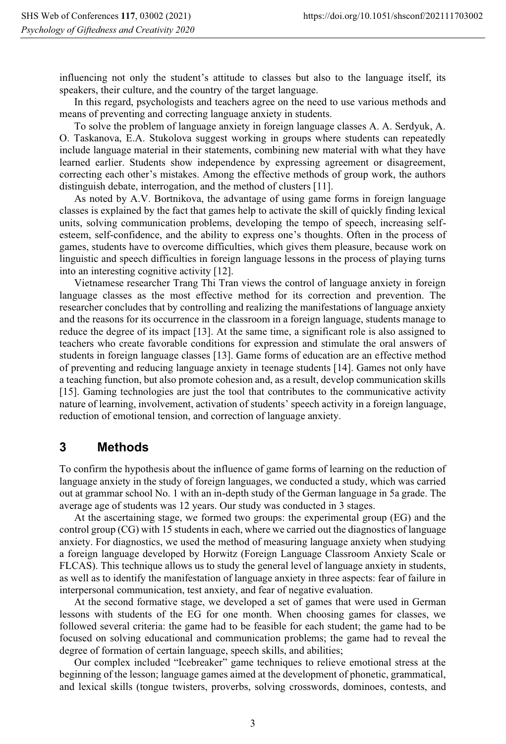influencing not only the student's attitude to classes but also to the language itself, its speakers, their culture, and the country of the target language.

In this regard, psychologists and teachers agree on the need to use various methods and means of preventing and correcting language anxiety in students.

To solve the problem of language anxiety in foreign language classes A. A. Serdyuk, A. O. Taskanova, E.A. Stukolova suggest working in groups where students can repeatedly include language material in their statements, combining new material with what they have learned earlier. Students show independence by expressing agreement or disagreement, correcting each other's mistakes. Among the effective methods of group work, the authors distinguish debate, interrogation, and the method of clusters [11].

As noted by A.V. Bortnikova, the advantage of using game forms in foreign language classes is explained by the fact that games help to activate the skill of quickly finding lexical units, solving communication problems, developing the tempo of speech, increasing selfesteem, self-confidence, and the ability to express one's thoughts. Often in the process of games, students have to overcome difficulties, which gives them pleasure, because work on linguistic and speech difficulties in foreign language lessons in the process of playing turns into an interesting cognitive activity [12].

Vietnamese researcher Trang Thi Tran views the control of language anxiety in foreign language classes as the most effective method for its correction and prevention. The researcher concludes that by controlling and realizing the manifestations of language anxiety and the reasons for its occurrence in the classroom in a foreign language, students manage to reduce the degree of its impact [13]. At the same time, a significant role is also assigned to teachers who create favorable conditions for expression and stimulate the oral answers of students in foreign language classes [13]. Game forms of education are an effective method of preventing and reducing language anxiety in teenage students [14]. Games not only have a teaching function, but also promote cohesion and, as a result, develop communication skills [15]. Gaming technologies are just the tool that contributes to the communicative activity nature of learning, involvement, activation of students' speech activity in a foreign language, reduction of emotional tension, and correction of language anxiety.

#### **3 Methods**

To confirm the hypothesis about the influence of game forms of learning on the reduction of language anxiety in the study of foreign languages, we conducted a study, which was carried out at grammar school No. 1 with an in-depth study of the German language in 5a grade. The average age of students was 12 years. Our study was conducted in 3 stages.

At the ascertaining stage, we formed two groups: the experimental group (EG) and the control group (CG) with 15 students in each, where we carried out the diagnostics of language anxiety. For diagnostics, we used the method of measuring language anxiety when studying a foreign language developed by Horwitz (Foreign Language Classroom Anxiety Scale or FLCAS). This technique allows us to study the general level of language anxiety in students, as well as to identify the manifestation of language anxiety in three aspects: fear of failure in interpersonal communication, test anxiety, and fear of negative evaluation.

At the second formative stage, we developed a set of games that were used in German lessons with students of the EG for one month. When choosing games for classes, we followed several criteria: the game had to be feasible for each student; the game had to be focused on solving educational and communication problems; the game had to reveal the degree of formation of certain language, speech skills, and abilities;

Our complex included "Icebreaker" game techniques to relieve emotional stress at the beginning of the lesson; language games aimed at the development of phonetic, grammatical, and lexical skills (tongue twisters, proverbs, solving crosswords, dominoes, contests, and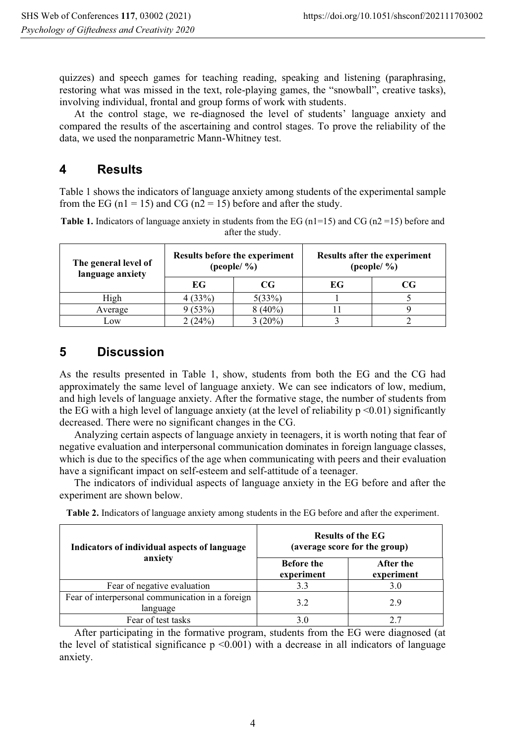quizzes) and speech games for teaching reading, speaking and listening (paraphrasing, restoring what was missed in the text, role-playing games, the "snowball", creative tasks), involving individual, frontal and group forms of work with students.

At the control stage, we re-diagnosed the level of students' language anxiety and compared the results of the ascertaining and control stages. To prove the reliability of the data, we used the nonparametric Mann-Whitney test.

## **4 Results**

Table 1 shows the indicators of language anxiety among students of the experimental sample from the EG ( $n1 = 15$ ) and CG ( $n2 = 15$ ) before and after the study.

**Table 1.** Indicators of language anxiety in students from the EG  $(n1=15)$  and CG  $(n2=15)$  before and after the study.

| The general level of<br>language anxiety | Results before the experiment<br>(people/ $\%$ ) |           | Results after the experiment<br>(people/ $\%$ ) |    |
|------------------------------------------|--------------------------------------------------|-----------|-------------------------------------------------|----|
|                                          | EG                                               | CG        | EG                                              | CG |
| High                                     | 4(33%)                                           | 5(33%)    |                                                 |    |
| Average                                  | (53%)                                            | $8(40\%)$ |                                                 |    |
| Low                                      | (24%                                             | 3(20%)    |                                                 |    |

## **5 Discussion**

As the results presented in Table 1, show, students from both the EG and the CG had approximately the same level of language anxiety. We can see indicators of low, medium, and high levels of language anxiety. After the formative stage, the number of students from the EG with a high level of language anxiety (at the level of reliability  $p \le 0.01$ ) significantly decreased. There were no significant changes in the CG.

Analyzing certain aspects of language anxiety in teenagers, it is worth noting that fear of negative evaluation and interpersonal communication dominates in foreign language classes, which is due to the specifics of the age when communicating with peers and their evaluation have a significant impact on self-esteem and self-attitude of a teenager.

The indicators of individual aspects of language anxiety in the EG before and after the experiment are shown below.

| Indicators of individual aspects of language<br>anxiety      | <b>Results of the EG</b><br>(average score for the group) |                         |  |
|--------------------------------------------------------------|-----------------------------------------------------------|-------------------------|--|
|                                                              | <b>Before the</b><br>experiment                           | After the<br>experiment |  |
| Fear of negative evaluation                                  | 3.3                                                       | 3.0                     |  |
| Fear of interpersonal communication in a foreign<br>language | 3.2                                                       | 2.9                     |  |
| Fear of test tasks                                           |                                                           |                         |  |

**Table 2.** Indicators of language anxiety among students in the EG before and after the experiment.

After participating in the formative program, students from the EG were diagnosed (at the level of statistical significance  $p \le 0.001$  with a decrease in all indicators of language anxiety.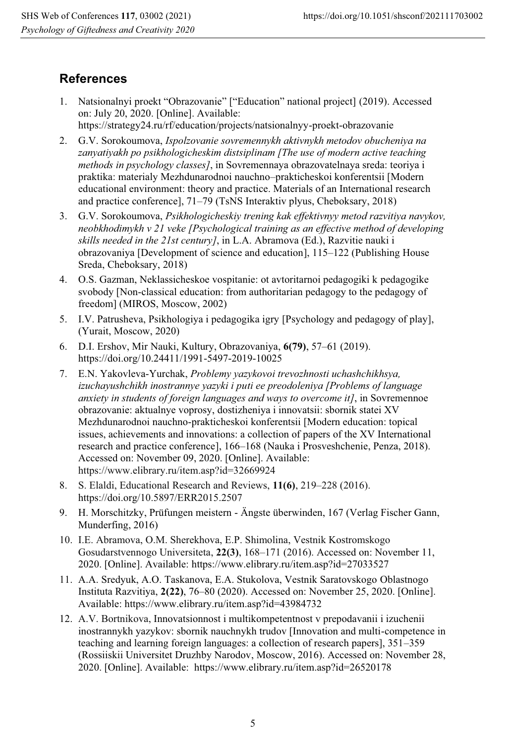### **References**

- 1. Natsionalnyi proekt "Obrazovanie" ["Education" national project] (2019). Accessed on: July 20, 2020. [Online]. Available: https://strategy24.ru/rf/education/projects/natsionalnyy-proekt-obrazovanie
- 2. G.V. Sorokoumova, *Ispolzovanie sovremennykh aktivnykh metodov obucheniya na zanyatiyakh po psikhologicheskim distsiplinam [The use of modern active teaching methods in psychology classes]*, in Sovremennaya obrazovatelnaya sreda: teoriya i praktika: materialy Mezhdunarodnoi nauchno–prakticheskoi konferentsii [Modern educational environment: theory and practice. Materials of an International research and practice conference], 71–79 (TsNS Interaktiv plyus, Cheboksary, 2018)
- 3. G.V. Sorokoumova, *Psikhologicheskiy trening kak effektivnyy metod razvitiya navykov, neobkhodimykh v 21 veke [Psychological training as an effective method of developing skills needed in the 21st century]*, in L.A. Abramova (Ed.), Razvitie nauki i obrazovaniya [Development of science and education], 115–122 (Publishing House Sreda, Cheboksary, 2018)
- 4. O.S. Gazman, Neklassicheskoe vospitanie: ot avtoritarnoi pedagogiki k pedagogike svobody [Non-classical education: from authoritarian pedagogy to the pedagogy of freedom] (MIROS, Moscow, 2002)
- 5. I.V. Patrusheva, Psikhologiya i pedagogika igry [Psychology and pedagogy of play], (Yurait, Moscow, 2020)
- 6. D.I. Ershov, Mir Nauki, Kultury, Obrazovaniya, **6(79)**, 57–61 (2019). https://doi.org/10.24411/1991-5497-2019-10025
- 7. E.N. Yakovleva-Yurchak, *Problemy yazykovoi trevozhnosti uchashchikhsya, izuchayushchikh inostrannye yazyki i puti ee preodoleniya [Problems of language anxiety in students of foreign languages and ways to overcome it]*, in Sovremennoe obrazovanie: aktualnye voprosy, dostizheniya i innovatsii: sbornik statei XV Mezhdunarodnoi nauchno-prakticheskoi konferentsii [Modern education: topical issues, achievements and innovations: a collection of papers of the XV International research and practice conference], 166–168 (Nauka i Prosveshchenie, Penza, 2018). Accessed on: November 09, 2020. [Online]. Available: https://www.elibrary.ru/item.asp?id=32669924
- 8. S. Elaldi, Educational Research and Reviews, **11(6)**, 219–228 (2016). https://doi.org/10.5897/ERR2015.2507
- 9. H. Morschitzky, Prüfungen meistern Ängste überwinden, 167 (Verlag Fischer Gann, Munderfing, 2016)
- 10. I.E. Abramova, O.M. Sherekhova, E.P. Shimolina, Vestnik Kostromskogo Gosudarstvennogo Universiteta, **22(3)**, 168–171 (2016). Accessed on: November 11, 2020. [Online]. Available: https://www.elibrary.ru/item.asp?id=27033527
- 11. A.A. Sredyuk, A.O. Taskanova, E.A. Stukolova, Vestnik Saratovskogo Oblastnogo Instituta Razvitiya, **2(22)**, 76–80 (2020). Accessed on: November 25, 2020. [Online]. Available: https://www.elibrary.ru/item.asp?id=43984732
- 12. A.V. Bortnikova, Innovatsionnost i multikompetentnost v prepodavanii i izuchenii inostrannykh yazykov: sbornik nauchnykh trudov [Innovation and multi-competence in teaching and learning foreign languages: a collection of research papers], 351–359 (Rossiiskii Universitet Druzhby Narodov, Moscow, 2016). Accessed on: November 28, 2020. [Online]. Available: https://www.elibrary.ru/item.asp?id=26520178